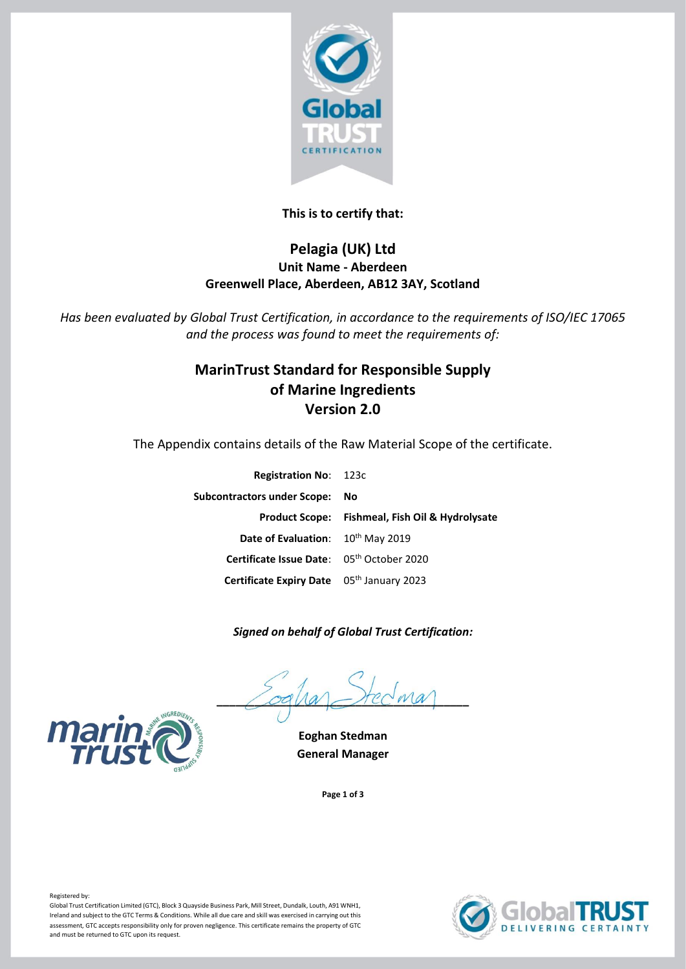

## **This is to certify that:**

## **Pelagia (UK) Ltd Unit Name - Aberdeen Greenwell Place, Aberdeen, AB12 3AY, Scotland**

*Has been evaluated by Global Trust Certification, in accordance to the requirements of ISO/IEC 17065 and the process was found to meet the requirements of:*

# **MarinTrust Standard for Responsible Supply of Marine Ingredients Version 2.0**

The Appendix contains details of the Raw Material Scope of the certificate.

| <b>Registration No: 123c</b>                  |                                                 |
|-----------------------------------------------|-------------------------------------------------|
| Subcontractors under Scope: No                |                                                 |
|                                               | Product Scope: Fishmeal, Fish Oil & Hydrolysate |
| Date of Evaluation: 10 <sup>th</sup> May 2019 |                                                 |
| Certificate Issue Date: 05th October 2020     |                                                 |
| Certificate Expiry Date 05th January 2023     |                                                 |

### *Signed on behalf of Global Trust Certification:*

 $\angle$ oqua $\angle$ rec $w$ a

**Eoghan Stedman General Manager**

**Page 1 of 3**





Registered by:

Global Trust Certification Limited (GTC), Block 3 Quayside Business Park, Mill Street, Dundalk, Louth, A91 WNH1, Ireland and subject to the GTC Terms & Conditions. While all due care and skill was exercised in carrying out this assessment, GTC accepts responsibility only for proven negligence. This certificate remains the property of GTC and must be returned to GTC upon its request.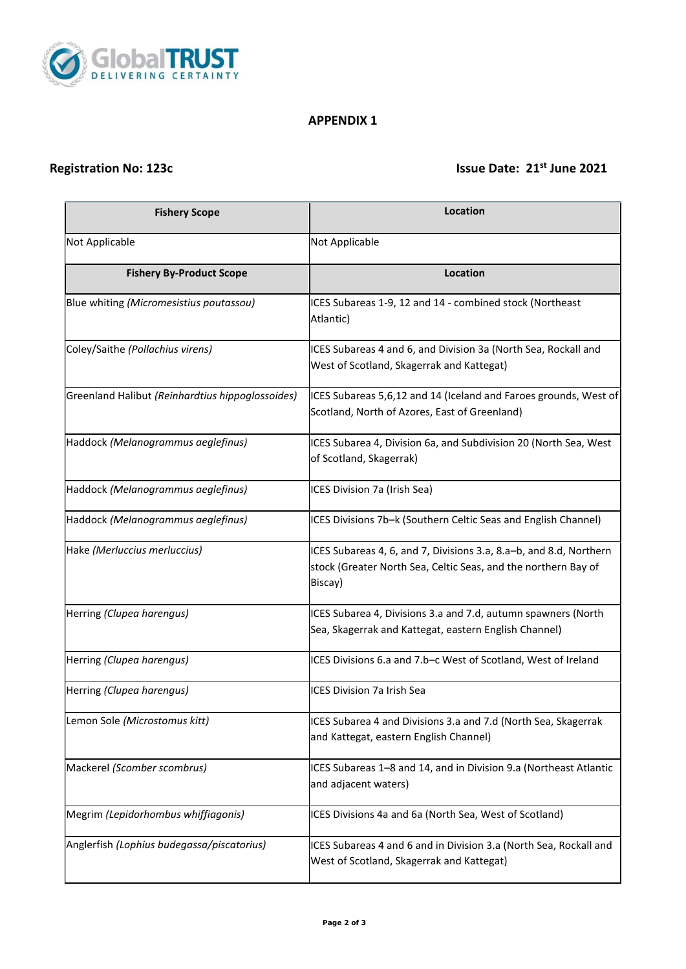

### **APPENDIX 1**

# **Registration No: 123c Issue Date: 21<sup>st</sup> June 2021**

| <b>Fishery Scope</b>                             | Location                                                                                                                                        |
|--------------------------------------------------|-------------------------------------------------------------------------------------------------------------------------------------------------|
| Not Applicable                                   | Not Applicable                                                                                                                                  |
| <b>Fishery By-Product Scope</b>                  | Location                                                                                                                                        |
| Blue whiting (Micromesistius poutassou)          | ICES Subareas 1-9, 12 and 14 - combined stock (Northeast<br>Atlantic)                                                                           |
| Coley/Saithe (Pollachius virens)                 | ICES Subareas 4 and 6, and Division 3a (North Sea, Rockall and<br>West of Scotland, Skagerrak and Kattegat)                                     |
| Greenland Halibut (Reinhardtius hippoglossoides) | ICES Subareas 5,6,12 and 14 (Iceland and Faroes grounds, West of<br>Scotland, North of Azores, East of Greenland)                               |
| Haddock (Melanogrammus aeglefinus)               | ICES Subarea 4, Division 6a, and Subdivision 20 (North Sea, West<br>of Scotland, Skagerrak)                                                     |
| Haddock (Melanogrammus aeglefinus)               | ICES Division 7a (Irish Sea)                                                                                                                    |
| Haddock (Melanogrammus aeglefinus)               | ICES Divisions 7b-k (Southern Celtic Seas and English Channel)                                                                                  |
| Hake (Merluccius merluccius)                     | ICES Subareas 4, 6, and 7, Divisions 3.a, 8.a-b, and 8.d, Northern<br>stock (Greater North Sea, Celtic Seas, and the northern Bay of<br>Biscay) |
| Herring (Clupea harengus)                        | ICES Subarea 4, Divisions 3.a and 7.d, autumn spawners (North<br>Sea, Skagerrak and Kattegat, eastern English Channel)                          |
| Herring (Clupea harengus)                        | ICES Divisions 6.a and 7.b-c West of Scotland, West of Ireland                                                                                  |
| Herring (Clupea harengus)                        | ICES Division 7a Irish Sea                                                                                                                      |
| Lemon Sole (Microstomus kitt)                    | ICES Subarea 4 and Divisions 3.a and 7.d (North Sea, Skagerrak<br>and Kattegat, eastern English Channel)                                        |
| Mackerel (Scomber scombrus)                      | ICES Subareas 1-8 and 14, and in Division 9.a (Northeast Atlantic<br>and adjacent waters)                                                       |
| Megrim (Lepidorhombus whiffiagonis)              | ICES Divisions 4a and 6a (North Sea, West of Scotland)                                                                                          |
| Anglerfish (Lophius budegassa/piscatorius)       | ICES Subareas 4 and 6 and in Division 3.a (North Sea, Rockall and<br>West of Scotland, Skagerrak and Kattegat)                                  |